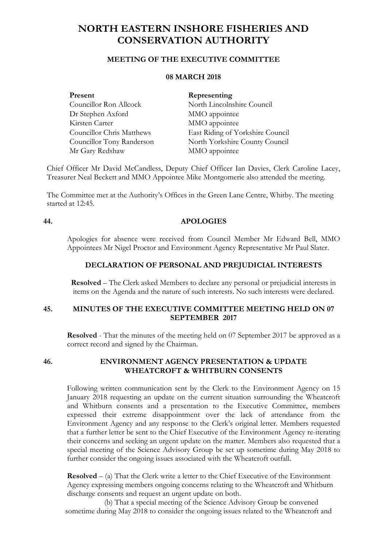# **NORTH EASTERN INSHORE FISHERIES AND CONSERVATION AUTHORITY**

# **MEETING OF THE EXECUTIVE COMMITTEE**

### **08 MARCH 2018**

| Present                   | Representing                     |
|---------------------------|----------------------------------|
| Councillor Ron Allcock    | North Lincolnshire Council       |
| Dr Stephen Axford         | MMO appointee                    |
| Kirsten Carter            | MMO appointee                    |
| Councillor Chris Matthews | East Riding of Yorkshire Council |
| Councillor Tony Randerson | North Yorkshire County Council   |
| Mr Gary Redshaw           | MMO appointee                    |

Chief Officer Mr David McCandless, Deputy Chief Officer Ian Davies, Clerk Caroline Lacey, Treasurer Neal Beckett and MMO Appointee Mike Montgomerie also attended the meeting.

The Committee met at the Authority's Offices in the Green Lane Centre, Whitby. The meeting started at 12:45.

### **44. APOLOGIES**

Apologies for absence were received from Council Member Mr Edward Bell, MMO Appointees Mr Nigel Proctor and Environment Agency Representative Mr Paul Slater.

# **DECLARATION OF PERSONAL AND PREJUDICIAL INTERESTS**

**Resolved** – The Clerk asked Members to declare any personal or prejudicial interests in items on the Agenda and the nature of such interests. No such interests were declared.

# **45. MINUTES OF THE EXECUTIVE COMMITTEE MEETING HELD ON 07 SEPTEMBER 2017**

**Resolved** - That the minutes of the meeting held on 07 September 2017 be approved as a correct record and signed by the Chairman.

# **46. ENVIRONMENT AGENCY PRESENTATION & UPDATE WHEATCROFT & WHITBURN CONSENTS**

Following written communication sent by the Clerk to the Environment Agency on 15 January 2018 requesting an update on the current situation surrounding the Wheatcroft and Whitburn consents and a presentation to the Executive Committee, members expressed their extreme disappointment over the lack of attendance from the Environment Agency and any response to the Clerk's original letter. Members requested that a further letter be sent to the Chief Executive of the Environment Agency re-iterating their concerns and seeking an urgent update on the matter. Members also requested that a special meeting of the Science Advisory Group be set up sometime during May 2018 to further consider the ongoing issues associated with the Wheatcroft outfall.

**Resolved** – (a) That the Clerk write a letter to the Chief Executive of the Environment Agency expressing members ongoing concerns relating to the Wheatcroft and Whitburn discharge consents and request an urgent update on both.

 (b) That a special meeting of the Science Advisory Group be convened sometime during May 2018 to consider the ongoing issues related to the Wheatcroft and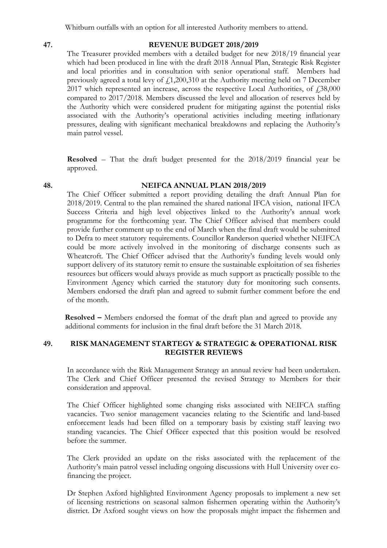Whitburn outfalls with an option for all interested Authority members to attend.

### **47. REVENUE BUDGET 2018/2019**

The Treasurer provided members with a detailed budget for new 2018/19 financial year which had been produced in line with the draft 2018 Annual Plan, Strategic Risk Register and local priorities and in consultation with senior operational staff. Members had previously agreed a total levy of  $f$ 1,200,310 at the Authority meeting held on 7 December 2017 which represented an increase, across the respective Local Authorities, of  $\text{\textsterling}38,000$ compared to 2017/2018. Members discussed the level and allocation of reserves held by the Authority which were considered prudent for mitigating against the potential risks associated with the Authority's operational activities including meeting inflationary pressures, dealing with significant mechanical breakdowns and replacing the Authority's main patrol vessel.

**Resolved** – That the draft budget presented for the 2018/2019 financial year be approved.

### **48. NEIFCA ANNUAL PLAN 2018/2019**

The Chief Officer submitted a report providing detailing the draft Annual Plan for 2018/2019. Central to the plan remained the shared national IFCA vision, national IFCA Success Criteria and high level objectives linked to the Authority's annual work programme for the forthcoming year. The Chief Officer advised that members could provide further comment up to the end of March when the final draft would be submitted to Defra to meet statutory requirements. Councillor Randerson queried whether NEIFCA could be more actively involved in the monitoring of discharge consents such as Wheatcroft. The Chief Officer advised that the Authority's funding levels would only support delivery of its statutory remit to ensure the sustainable exploitation of sea fisheries resources but officers would always provide as much support as practically possible to the Environment Agency which carried the statutory duty for monitoring such consents. Members endorsed the draft plan and agreed to submit further comment before the end of the month.

**Resolved –** Members endorsed the format of the draft plan and agreed to provide any additional comments for inclusion in the final draft before the 31 March 2018.

# **49. RISK MANAGEMENT STARTEGY & STRATEGIC & OPERATIONAL RISK REGISTER REVIEWS**

In accordance with the Risk Management Strategy an annual review had been undertaken. The Clerk and Chief Officer presented the revised Strategy to Members for their consideration and approval.

The Chief Officer highlighted some changing risks associated with NEIFCA staffing vacancies. Two senior management vacancies relating to the Scientific and land-based enforcement leads had been filled on a temporary basis by existing staff leaving two standing vacancies. The Chief Officer expected that this position would be resolved before the summer.

The Clerk provided an update on the risks associated with the replacement of the Authority's main patrol vessel including ongoing discussions with Hull University over cofinancing the project.

Dr Stephen Axford highlighted Environment Agency proposals to implement a new set of licensing restrictions on seasonal salmon fishermen operating within the Authority's district. Dr Axford sought views on how the proposals might impact the fishermen and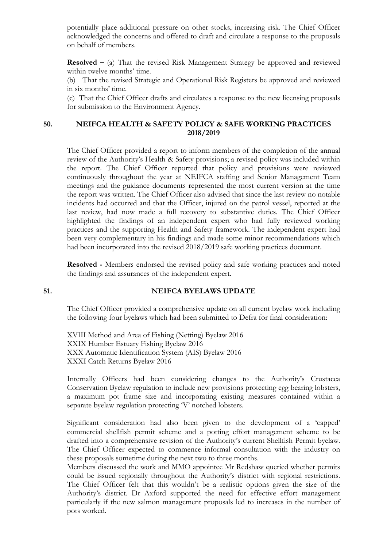potentially place additional pressure on other stocks, increasing risk. The Chief Officer acknowledged the concerns and offered to draft and circulate a response to the proposals on behalf of members.

**Resolved –** (a) That the revised Risk Management Strategy be approved and reviewed within twelve months' time.

(b) That the revised Strategic and Operational Risk Registers be approved and reviewed in six months' time.

(c) That the Chief Officer drafts and circulates a response to the new licensing proposals for submission to the Environment Agency.

# **50. NEIFCA HEALTH & SAFETY POLICY & SAFE WORKING PRACTICES 2018/2019**

The Chief Officer provided a report to inform members of the completion of the annual review of the Authority's Health & Safety provisions; a revised policy was included within the report. The Chief Officer reported that policy and provisions were reviewed continuously throughout the year at NEIFCA staffing and Senior Management Team meetings and the guidance documents represented the most current version at the time the report was written. The Chief Officer also advised that since the last review no notable incidents had occurred and that the Officer, injured on the patrol vessel, reported at the last review, had now made a full recovery to substantive duties. The Chief Officer highlighted the findings of an independent expert who had fully reviewed working practices and the supporting Health and Safety framework. The independent expert had been very complementary in his findings and made some minor recommendations which had been incorporated into the revised 2018/2019 safe working practices document.

**Resolved -** Members endorsed the revised policy and safe working practices and noted the findings and assurances of the independent expert.

### **51. NEIFCA BYELAWS UPDATE**

The Chief Officer provided a comprehensive update on all current byelaw work including the following four byelaws which had been submitted to Defra for final consideration:

XVIII Method and Area of Fishing (Netting) Byelaw 2016 XXIX Humber Estuary Fishing Byelaw 2016 XXX Automatic Identification System (AIS) Byelaw 2016 XXXI Catch Returns Byelaw 2016

Internally Officers had been considering changes to the Authority's Crustacea Conservation Byelaw regulation to include new provisions protecting egg bearing lobsters, a maximum pot frame size and incorporating existing measures contained within a separate byelaw regulation protecting 'V' notched lobsters.

Significant consideration had also been given to the development of a 'capped' commercial shellfish permit scheme and a potting effort management scheme to be drafted into a comprehensive revision of the Authority's current Shellfish Permit byelaw. The Chief Officer expected to commence informal consultation with the industry on these proposals sometime during the next two to three months.

Members discussed the work and MMO appointee Mr Redshaw queried whether permits could be issued regionally throughout the Authority's district with regional restrictions. The Chief Officer felt that this wouldn't be a realistic options given the size of the Authority's district. Dr Axford supported the need for effective effort management particularly if the new salmon management proposals led to increases in the number of pots worked.